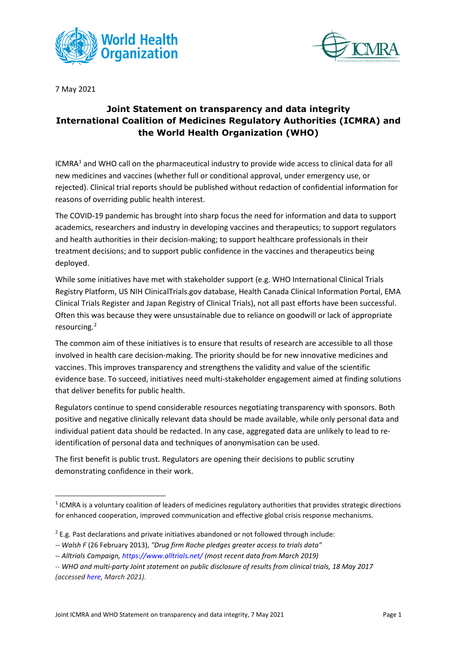



7 May 2021

## **Joint Statement on transparency and data integrity International Coalition of Medicines Regulatory Authorities (ICMRA) and the World Health Organization (WHO)**

ICMRA<sup>[1](#page-0-0)</sup> and WHO call on the pharmaceutical industry to provide wide access to clinical data for all new medicines and vaccines (whether full or conditional approval, under emergency use, or rejected). Clinical trial reports should be published without redaction of confidential information for reasons of overriding public health interest.

The COVID-19 pandemic has brought into sharp focus the need for information and data to support academics, researchers and industry in developing vaccines and therapeutics; to support regulators and health authorities in their decision-making; to support healthcare professionals in their treatment decisions; and to support public confidence in the vaccines and therapeutics being deployed.

While some initiatives have met with stakeholder support (e.g. WHO International Clinical Trials Registry Platform, US NIH ClinicalTrials.gov database, Health Canada Clinical Information Portal, EMA Clinical Trials Register and Japan Registry of Clinical Trials), not all past efforts have been successful. Often this was because they were unsustainable due to reliance on goodwill or lack of appropriate resourcing[.2](#page-0-1)

The common aim of these initiatives is to ensure that results of research are accessible to all those involved in health care decision-making. The priority should be for new innovative medicines and vaccines. This improves transparency and strengthens the validity and value of the scientific evidence base. To succeed, initiatives need multi-stakeholder engagement aimed at finding solutions that deliver benefits for public health.

Regulators continue to spend considerable resources negotiating transparency with sponsors. Both positive and negative clinically relevant data should be made available, while only personal data and individual patient data should be redacted. In any case, aggregated data are unlikely to lead to reidentification of personal data and techniques of anonymisation can be used.

The first benefit is public trust. Regulators are opening their decisions to public scrutiny demonstrating confidence in their work.

<span id="page-0-0"></span><sup>&</sup>lt;sup>1</sup> ICMRA is a voluntary coalition of leaders of medicines regulatory authorities that provides strategic directions for enhanced cooperation, improved communication and effective global crisis response mechanisms.

<span id="page-0-1"></span> $2$  E.g. Past declarations and private initiatives abandoned or not followed through include:

*<sup>--</sup> [Walsh F](https://en.wikipedia.org/wiki/Fergus_Walsh)* (26 February 2013), *["Drug firm Roche pledges greater access to trials data"](https://www.bbc.co.uk/news/health-21595895)*

*<sup>--</sup> Alltrials Campaign, <https://www.alltrials.net/> (most recent data from March 2019)*

*<sup>--</sup> WHO and multi-party Joint statement on public disclosure of results from clinical trials, 18 May 2017 (accessed [here,](https://www.who.int/news/item/18-05-2017-joint-statement-on-registration) March 2021)*.